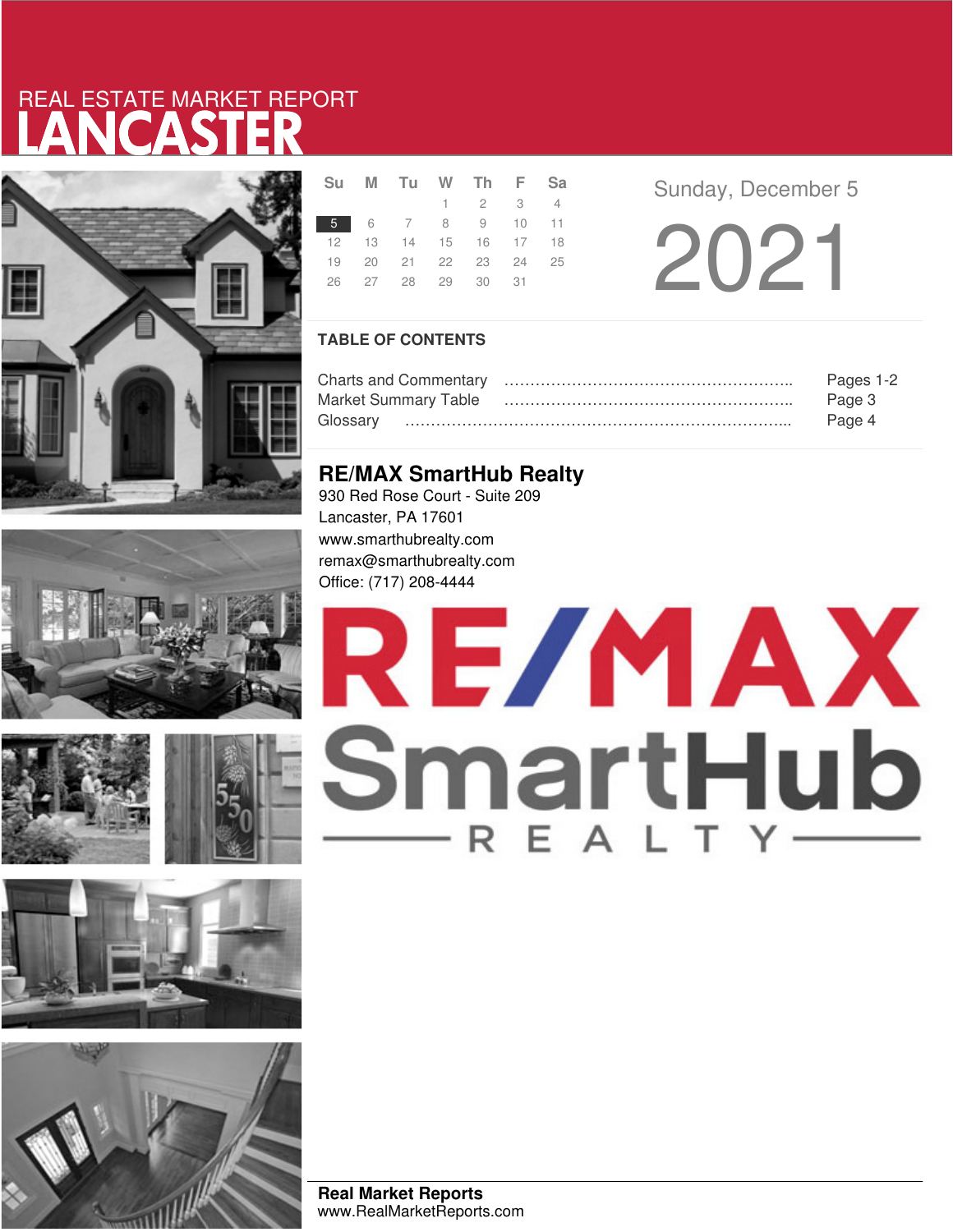# LANCASTER REAL ESTATE MARKET REPORT













|  | Su M Tu W Th F Sa          |                             |  |
|--|----------------------------|-----------------------------|--|
|  |                            | $1 \quad 2 \quad 3 \quad 4$ |  |
|  | 5 6 7 8 9 10 11            |                             |  |
|  | 12  13  14  15  16  17  18 |                             |  |
|  | 19 20 21 22 23 24 25       |                             |  |
|  | 26 27 28 29 30 31          |                             |  |
|  |                            |                             |  |

**Sunday, December 5** 

2021

## **TABLE OF CONTENTS**

|                             | Pages 1-2 |
|-----------------------------|-----------|
| <b>Market Summary Table</b> | Page 3    |
| Glossarv                    | Page 4    |

# **RE/MAX SmartHub Realty**

930 Red Rose Court - Suite 209 Lancaster, PA 17601 www.smarthubrealty.com remax@smarthubrealty.com Office: (717) 208-4444

# RE/MAX SmartHub

**Real Market Reports** www.RealMarketReports.com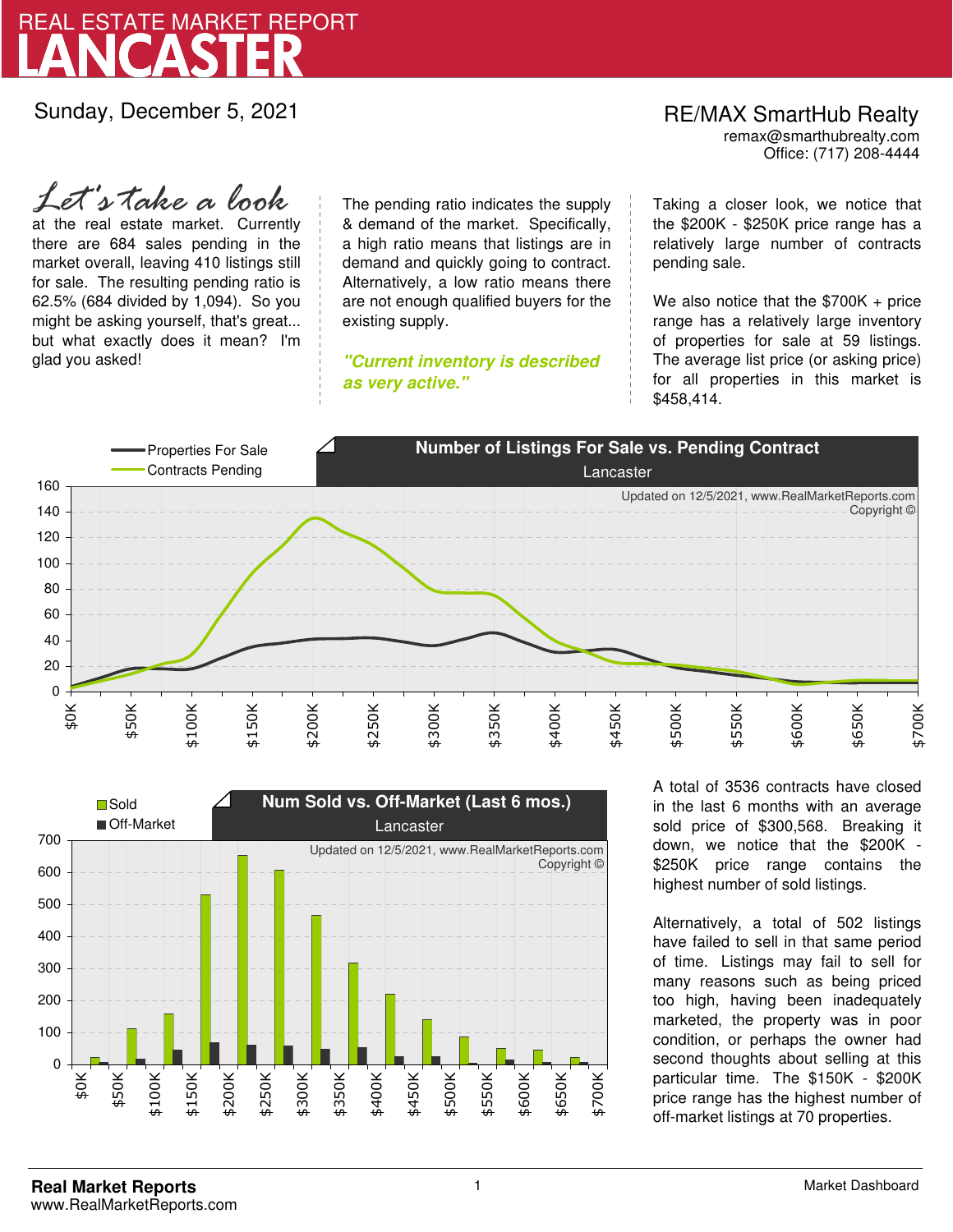

Sunday, December 5, 2021

RE/MAX SmartHub Realty remax@smarthubrealty.com

Office: (717) 208-4444

at the real estate market. Currently there are 684 sales pending in the market overall, leaving 410 listings still for sale. The resulting pending ratio is 62.5% (684 divided by 1,094). So you might be asking yourself, that's great... but what exactly does it mean? I'm glad you asked! *Let's take a look*

The pending ratio indicates the supply & demand of the market. Specifically, a high ratio means that listings are in demand and quickly going to contract. Alternatively, a low ratio means there are not enough qualified buyers for the existing supply.

**"Current inventory is described as very active."**

Taking a closer look, we notice that the \$200K - \$250K price range has a relatively large number of contracts pending sale.

We also notice that the \$700K + price range has a relatively large inventory of properties for sale at 59 listings. The average list price (or asking price) for all properties in this market is \$458,414.





A total of 3536 contracts have closed in the last 6 months with an average sold price of \$300,568. Breaking it down, we notice that the \$200K - \$250K price range contains the highest number of sold listings.

Alternatively, a total of 502 listings have failed to sell in that same period of time. Listings may fail to sell for many reasons such as being priced too high, having been inadequately marketed, the property was in poor condition, or perhaps the owner had second thoughts about selling at this particular time. The \$150K - \$200K price range has the highest number of off-market listings at 70 properties.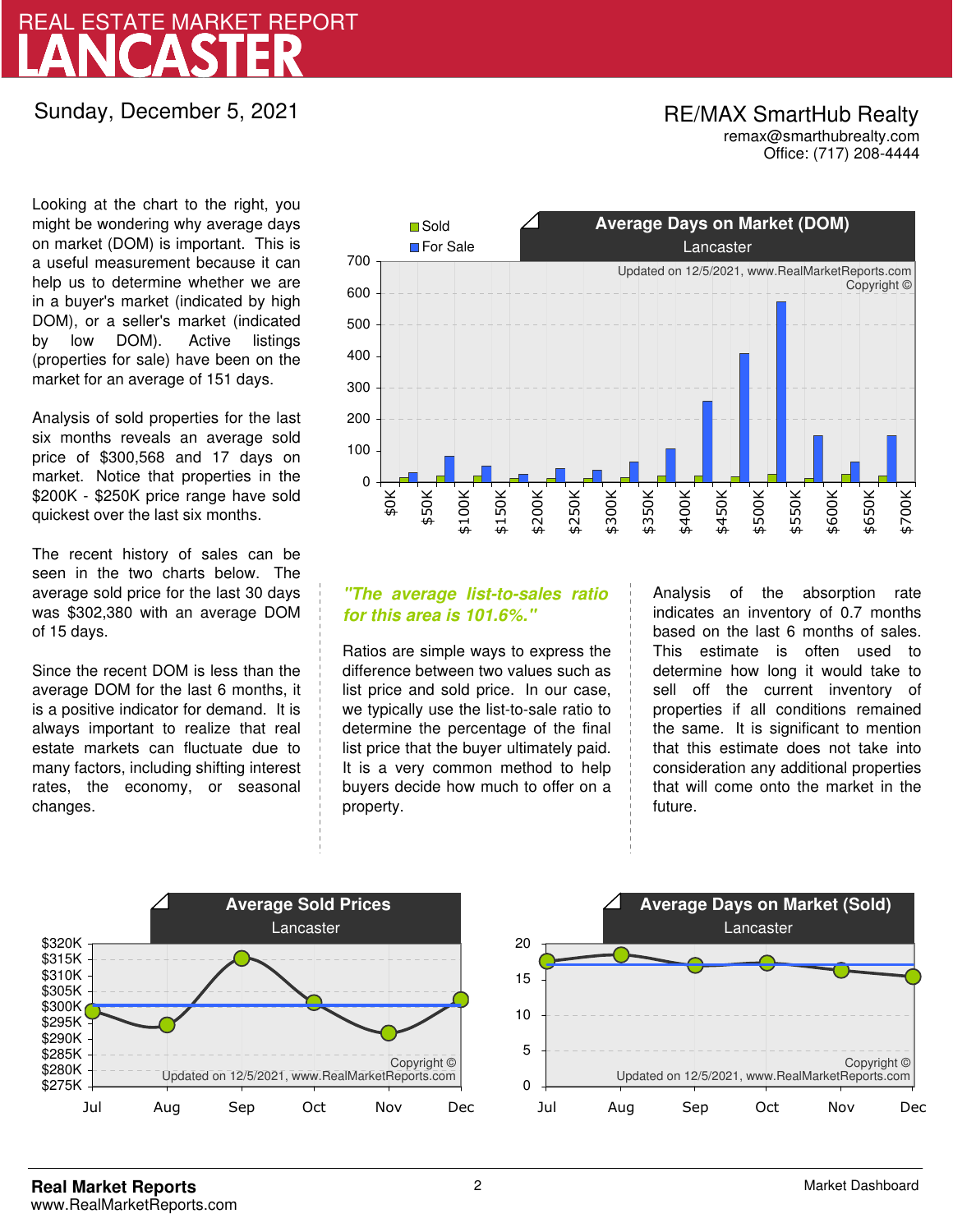# LANCASTER REAL ESTATE MARKET REPORT

Sunday, December 5, 2021

## RE/MAX SmartHub Realty remax@smarthubrealty.com

Office: (717) 208-4444

Looking at the chart to the right, you might be wondering why average days on market (DOM) is important. This is a useful measurement because it can help us to determine whether we are in a buyer's market (indicated by high DOM), or a seller's market (indicated by low DOM). Active listings (properties for sale) have been on the market for an average of 151 days.

Analysis of sold properties for the last six months reveals an average sold price of \$300,568 and 17 days on market. Notice that properties in the \$200K - \$250K price range have sold quickest over the last six months.

The recent history of sales can be seen in the two charts below. The average sold price for the last 30 days was \$302,380 with an average DOM of 15 days.

Since the recent DOM is less than the average DOM for the last 6 months, it is a positive indicator for demand. It is always important to realize that real estate markets can fluctuate due to many factors, including shifting interest rates, the economy, or seasonal changes.



# **"The average list-to-sales ratio for this area is 101.6%."**

Ratios are simple ways to express the difference between two values such as list price and sold price. In our case, we typically use the list-to-sale ratio to determine the percentage of the final list price that the buyer ultimately paid. It is a very common method to help buyers decide how much to offer on a property.

Analysis of the absorption rate indicates an inventory of 0.7 months based on the last 6 months of sales. This estimate is often used to determine how long it would take to sell off the current inventory of properties if all conditions remained the same. It is significant to mention that this estimate does not take into consideration any additional properties that will come onto the market in the future.



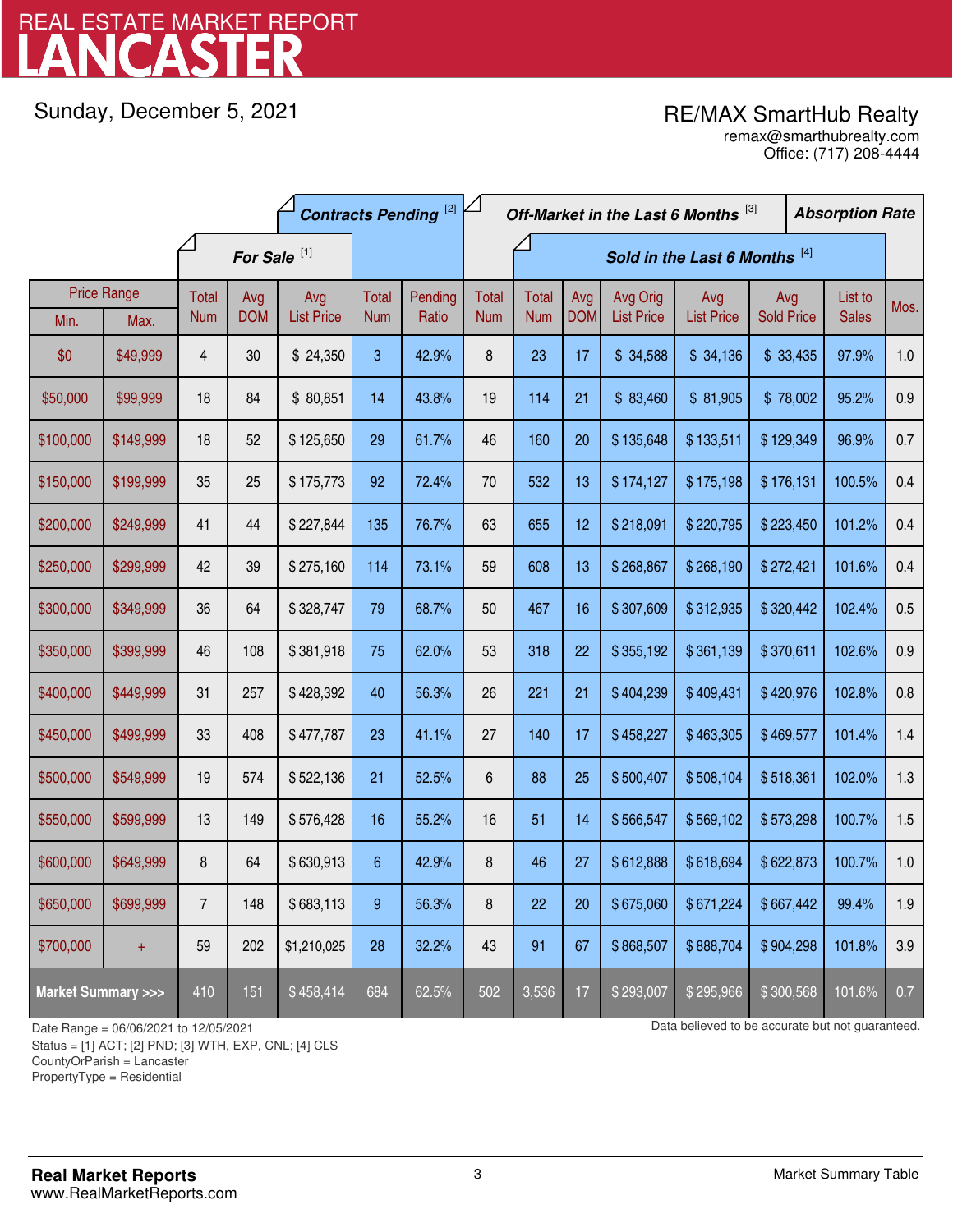# LANCASTER REAL ESTATE MARKET REPORT

Sunday, December 5, 2021

# RE/MAX SmartHub Realty

Office: (717) 208-4444 remax@smarthubrealty.com

|                                    |                    | <b>Contracts Pending [2]</b> |            |                   | Off-Market in the Last 6 Months [3] |                               |              |              |            |                   | <b>Absorption Rate</b> |                   |  |              |      |
|------------------------------------|--------------------|------------------------------|------------|-------------------|-------------------------------------|-------------------------------|--------------|--------------|------------|-------------------|------------------------|-------------------|--|--------------|------|
|                                    |                    | For Sale <sup>[1]</sup>      |            |                   |                                     | Sold in the Last 6 Months [4] |              |              |            |                   |                        |                   |  |              |      |
|                                    | <b>Price Range</b> | Total                        | Avg        | Avg               | Total                               | Pending                       | <b>Total</b> | <b>Total</b> | Avg        | Avg Orig          | Avg                    | Avg               |  | List to      | Mos. |
| Min.                               | Max.               | <b>Num</b>                   | <b>DOM</b> | <b>List Price</b> | <b>Num</b>                          | Ratio                         | <b>Num</b>   | <b>Num</b>   | <b>DOM</b> | <b>List Price</b> | <b>List Price</b>      | <b>Sold Price</b> |  | <b>Sales</b> |      |
| \$0                                | \$49,999           | 4                            | 30         | \$24,350          | 3                                   | 42.9%                         | 8            | 23           | 17         | \$34,588          | \$34,136               | \$33,435          |  | 97.9%        | 1.0  |
| \$50,000                           | \$99,999           | 18                           | 84         | \$80,851          | 14                                  | 43.8%                         | 19           | 114          | 21         | \$83,460          | \$81,905               | \$78,002          |  | 95.2%        | 0.9  |
| \$100,000                          | \$149,999          | 18                           | 52         | \$125,650         | 29                                  | 61.7%                         | 46           | 160          | 20         | \$135,648         | \$133,511              | \$129,349         |  | 96.9%        | 0.7  |
| \$150,000                          | \$199,999          | 35                           | 25         | \$175,773         | 92                                  | 72.4%                         | 70           | 532          | 13         | \$174,127         | \$175,198              | \$176,131         |  | 100.5%       | 0.4  |
| \$200,000                          | \$249,999          | 41                           | 44         | \$227,844         | 135                                 | 76.7%                         | 63           | 655          | 12         | \$218,091         | \$220,795              | \$223,450         |  | 101.2%       | 0.4  |
| \$250,000                          | \$299,999          | 42                           | 39         | \$275,160         | 114                                 | 73.1%                         | 59           | 608          | 13         | \$268,867         | \$268,190              | \$272,421         |  | 101.6%       | 0.4  |
| \$300,000                          | \$349,999          | 36                           | 64         | \$328,747         | 79                                  | 68.7%                         | 50           | 467          | 16         | \$307,609         | \$312,935              | \$320,442         |  | 102.4%       | 0.5  |
| \$350,000                          | \$399,999          | 46                           | 108        | \$381,918         | 75                                  | 62.0%                         | 53           | 318          | 22         | \$355,192         | \$361,139              | \$370,611         |  | 102.6%       | 0.9  |
| \$400,000                          | \$449,999          | 31                           | 257        | \$428,392         | 40                                  | 56.3%                         | 26           | 221          | 21         | \$404,239         | \$409,431              | \$420,976         |  | 102.8%       | 0.8  |
| \$450,000                          | \$499,999          | 33                           | 408        | \$477,787         | 23                                  | 41.1%                         | 27           | 140          | 17         | \$458,227         | \$463,305              | \$469,577         |  | 101.4%       | 1.4  |
| \$500,000                          | \$549,999          | 19                           | 574        | \$522,136         | 21                                  | 52.5%                         | 6            | 88           | 25         | \$500,407         | \$508,104              | \$518,361         |  | 102.0%       | 1.3  |
| \$550,000                          | \$599,999          | 13                           | 149        | \$576,428         | 16                                  | 55.2%                         | 16           | 51           | 14         | \$566,547         | \$569,102              | \$573,298         |  | 100.7%       | 1.5  |
| \$600,000                          | \$649,999          | 8                            | 64         | \$630,913         | 6                                   | 42.9%                         | 8            | 46           | 27         | \$612,888         | \$618,694              | \$622,873         |  | 100.7%       | 1.0  |
| \$650,000                          | \$699,999          | $\overline{7}$               | 148        | \$683,113         | 9                                   | 56.3%                         | 8            | 22           | 20         | \$675,060         | \$671,224              | \$667,442         |  | 99.4%        | 1.9  |
| \$700,000                          | $\ddot{}$          | 59                           | 202        | \$1,210,025       | 28                                  | 32.2%                         | 43           | 91           | 67         | \$868,507         | \$888,704              | \$904,298         |  | 101.8%       | 3.9  |
| <b>Market Summary &gt;&gt;&gt;</b> |                    | 410                          | 151        | \$458,414         | 684                                 | 62.5%                         | 502          | 3,536        | 17         | \$293,007         | \$295,966              | \$300,568         |  | 101.6%       | 0.7  |

Status = [1] ACT; [2] PND; [3] WTH, EXP, CNL; [4] CLS

CountyOrParish = Lancaster

PropertyType = Residential

1

Date Range = 06/06/2021 to 12/05/2021 Data believed to be accurate but not guaranteed.